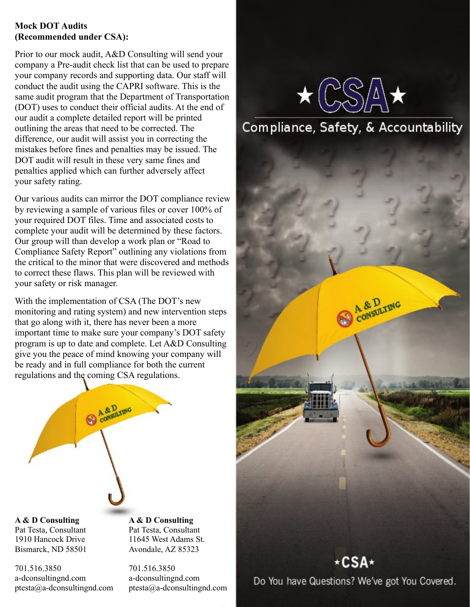#### **Mock DOT Audits (Recommended under CSA):**

Prior to our mock audit, A&D Consulting will send your company a Pre-audit check list that can be used to prepare your company records and supporting data. Our staff will conduct the audit using the CAPRI software. This is the same audit program that the Department of Transportation (DOT) uses to conduct their official audits. At the end of our audit a complete detailed report will be printed outlining the areas that need to be corrected. The difference, our audit will assist you in correcting the mistakes before fines and penalties may be issued. The DOT audit will result in these very same fines and penalties applied which can further adversely affect your safety rating.

Our various audits can mirror the DOT compliance review by reviewing a sample of various files or cover 100% of your required DOT files. Time and associated costs to complete your audit will be determined by these factors. Our group will than develop a work plan or "Road to Compliance Safety Report" outlining any violations from the critical to the minor that were discovered and methods to correct these flaws. This plan will be reviewed with your safety or risk manager.

With the implementation of CSA (The DOT's new monitoring and rating system) and new intervention steps that go along with it, there has never been a more important time to make sure your company's DOT safety program is up to date and complete. Let A&D Consulting give you the peace of mind knowing your company will be ready and in full compliance for both the current regulations and the coming CSA regulations.



**A & D Consulting**  Pat Testa, Consultant 1910 Hancock Drive Bismarck, ND 58501

701.516.3850 a-dconsultingnd.com ptesta@a-dconsultingnd.com **A & D Consulting**  Pat Testa, Consultant 11645 West Adams St. Avondale, AZ 85323

701.516.3850 a-dconsultingnd.com ptesta@a-dconsultingnd.com



# Compliance, Safety, & Accountability

A & D<sub>raw</sub>



Do You have Questions? We've got You Covered.